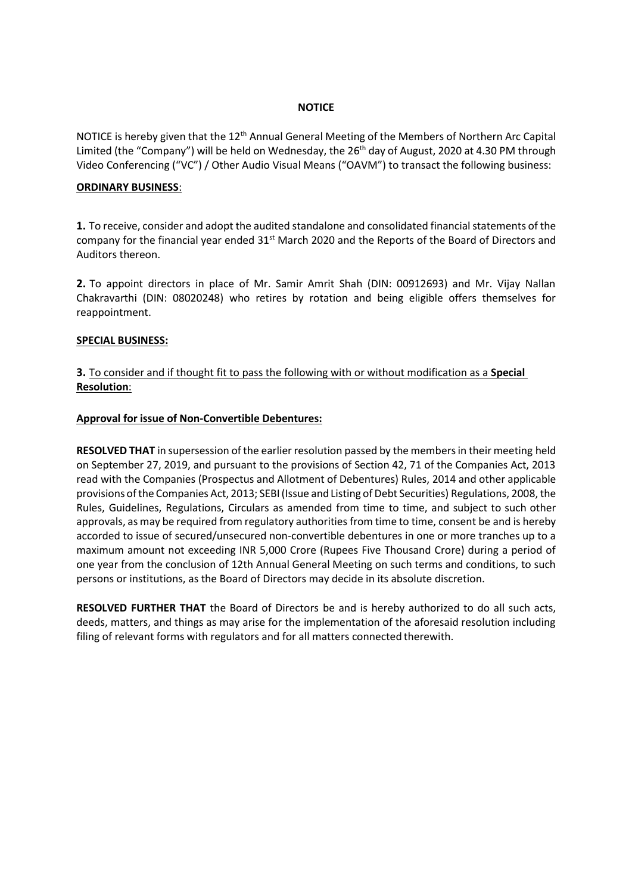#### **NOTICE**

NOTICE is hereby given that the 12<sup>th</sup> Annual General Meeting of the Members of Northern Arc Capital Limited (the "Company") will be held on Wednesday, the 26<sup>th</sup> day of August, 2020 at 4.30 PM through Video Conferencing ("VC") / Other Audio Visual Means ("OAVM") to transact the following business:

#### **ORDINARY BUSINESS**:

**1.** To receive, consider and adopt the audited standalone and consolidated financial statements of the company for the financial year ended  $31<sup>st</sup>$  March 2020 and the Reports of the Board of Directors and Auditors thereon.

**2.** To appoint directors in place of Mr. Samir Amrit Shah (DIN: 00912693) and Mr. Vijay Nallan Chakravarthi (DIN: 08020248) who retires by rotation and being eligible offers themselves for reappointment.

#### **SPECIAL BUSINESS:**

### **3.** To consider and if thought fit to pass the following with or without modification as a **Special Resolution**:

#### **Approval for issue of Non-Convertible Debentures:**

**RESOLVED THAT** in supersession of the earlier resolution passed by the members in their meeting held on September 27, 2019, and pursuant to the provisions of Section 42, 71 of the Companies Act, 2013 read with the Companies (Prospectus and Allotment of Debentures) Rules, 2014 and other applicable provisions of the Companies Act, 2013; SEBI (Issue and Listing of Debt Securities) Regulations, 2008, the Rules, Guidelines, Regulations, Circulars as amended from time to time, and subject to such other approvals, as may be required from regulatory authorities from time to time, consent be and is hereby accorded to issue of secured/unsecured non-convertible debentures in one or more tranches up to a maximum amount not exceeding INR 5,000 Crore (Rupees Five Thousand Crore) during a period of one year from the conclusion of 12th Annual General Meeting on such terms and conditions, to such persons or institutions, as the Board of Directors may decide in its absolute discretion.

**RESOLVED FURTHER THAT** the Board of Directors be and is hereby authorized to do all such acts, deeds, matters, and things as may arise for the implementation of the aforesaid resolution including filing of relevant forms with regulators and for all matters connected therewith.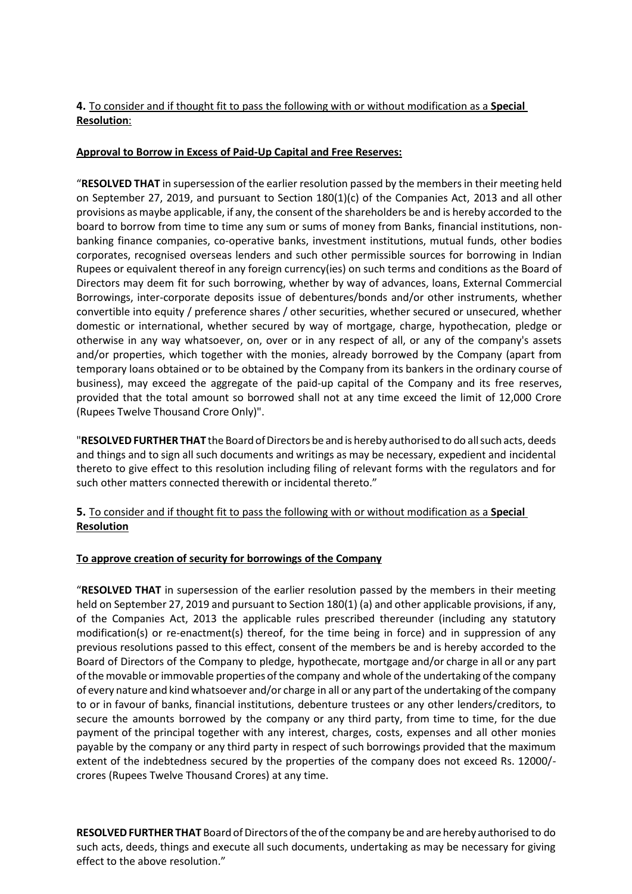# **4.** To consider and if thought fit to pass the following with or without modification as a **Special Resolution**:

# **Approval to Borrow in Excess of Paid-Up Capital and Free Reserves:**

"**RESOLVED THAT** in supersession of the earlier resolution passed by the members in their meeting held on September 27, 2019, and pursuant to Section 180(1)(c) of the Companies Act, 2013 and all other provisions as maybe applicable, if any, the consent of the shareholders be and is hereby accorded to the board to borrow from time to time any sum or sums of money from Banks, financial institutions, nonbanking finance companies, co-operative banks, investment institutions, mutual funds, other bodies corporates, recognised overseas lenders and such other permissible sources for borrowing in Indian Rupees or equivalent thereof in any foreign currency(ies) on such terms and conditions as the Board of Directors may deem fit for such borrowing, whether by way of advances, loans, External Commercial Borrowings, inter-corporate deposits issue of debentures/bonds and/or other instruments, whether convertible into equity / preference shares / other securities, whether secured or unsecured, whether domestic or international, whether secured by way of mortgage, charge, hypothecation, pledge or otherwise in any way whatsoever, on, over or in any respect of all, or any of the company's assets and/or properties, which together with the monies, already borrowed by the Company (apart from temporary loans obtained or to be obtained by the Company from its bankers in the ordinary course of business), may exceed the aggregate of the paid-up capital of the Company and its free reserves, provided that the total amount so borrowed shall not at any time exceed the limit of 12,000 Crore (Rupees Twelve Thousand Crore Only)".

"**RESOLVEDFURTHER THAT** the Board ofDirectors be and is hereby authorised to do allsuch acts, deeds and things and to sign all such documents and writings as may be necessary, expedient and incidental thereto to give effect to this resolution including filing of relevant forms with the regulators and for such other matters connected therewith or incidental thereto."

# **5.** To consider and if thought fit to pass the following with or without modification as a **Special Resolution**

# **To approve creation of security for borrowings of the Company**

"**RESOLVED THAT** in supersession of the earlier resolution passed by the members in their meeting held on September 27, 2019 and pursuant to Section 180(1) (a) and other applicable provisions, if any, of the Companies Act, 2013 the applicable rules prescribed thereunder (including any statutory modification(s) or re-enactment(s) thereof, for the time being in force) and in suppression of any previous resolutions passed to this effect, consent of the members be and is hereby accorded to the Board of Directors of the Company to pledge, hypothecate, mortgage and/or charge in all or any part ofthe movable orimmovable properties ofthe company and whole ofthe undertaking of the company of every nature and kind whatsoever and/or charge in all or any part ofthe undertaking ofthe company to or in favour of banks, financial institutions, debenture trustees or any other lenders/creditors, to secure the amounts borrowed by the company or any third party, from time to time, for the due payment of the principal together with any interest, charges, costs, expenses and all other monies payable by the company or any third party in respect of such borrowings provided that the maximum extent of the indebtedness secured by the properties of the company does not exceed Rs. 12000/ crores (Rupees Twelve Thousand Crores) at any time.

**RESOLVED FURTHER THAT** Board of Directors of the of the company be and are hereby authorised to do such acts, deeds, things and execute all such documents, undertaking as may be necessary for giving effect to the above resolution."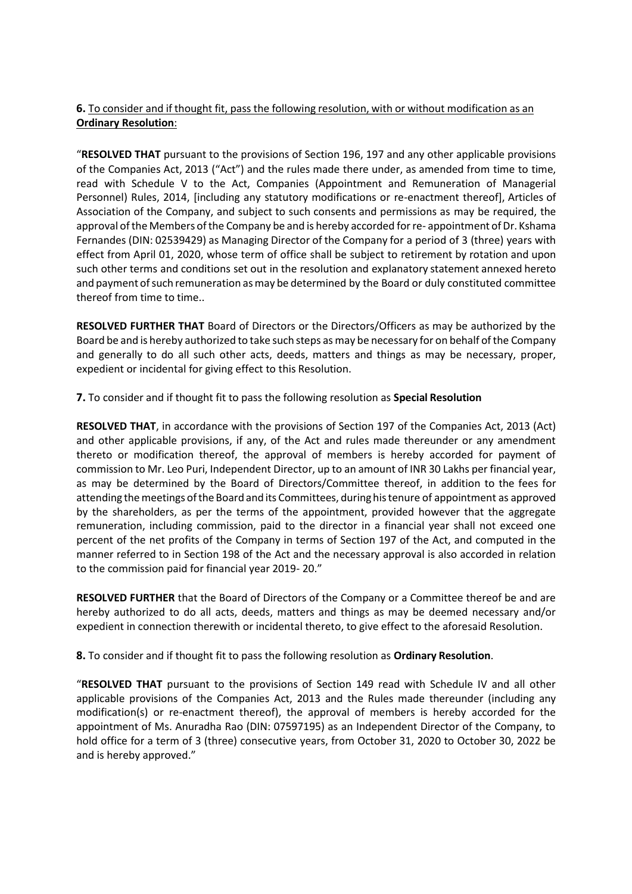# **6.** To consider and if thought fit, pass the following resolution, with or without modification as an **Ordinary Resolution**:

"**RESOLVED THAT** pursuant to the provisions of Section 196, 197 and any other applicable provisions of the Companies Act, 2013 ("Act") and the rules made there under, as amended from time to time, read with Schedule V to the Act, Companies (Appointment and Remuneration of Managerial Personnel) Rules, 2014, [including any statutory modifications or re-enactment thereof], Articles of Association of the Company, and subject to such consents and permissions as may be required, the approval of the Members of the Company be and is hereby accorded for re- appointment of Dr. Kshama Fernandes (DIN: 02539429) as Managing Director of the Company for a period of 3 (three) years with effect from April 01, 2020, whose term of office shall be subject to retirement by rotation and upon such other terms and conditions set out in the resolution and explanatory statement annexed hereto and payment of such remuneration as may be determined by the Board or duly constituted committee thereof from time to time..

**RESOLVED FURTHER THAT** Board of Directors or the Directors/Officers as may be authorized by the Board be and is hereby authorized to take such steps as may be necessary for on behalf ofthe Company and generally to do all such other acts, deeds, matters and things as may be necessary, proper, expedient or incidental for giving effect to this Resolution.

**7.** To consider and if thought fit to pass the following resolution as **Special Resolution**

**RESOLVED THAT**, in accordance with the provisions of Section 197 of the Companies Act, 2013 (Act) and other applicable provisions, if any, of the Act and rules made thereunder or any amendment thereto or modification thereof, the approval of members is hereby accorded for payment of commission to Mr. Leo Puri, Independent Director, up to an amount of INR 30 Lakhs per financial year, as may be determined by the Board of Directors/Committee thereof, in addition to the fees for attending the meetings of the Board and its Committees, during his tenure of appointment as approved by the shareholders, as per the terms of the appointment, provided however that the aggregate remuneration, including commission, paid to the director in a financial year shall not exceed one percent of the net profits of the Company in terms of Section 197 of the Act, and computed in the manner referred to in Section 198 of the Act and the necessary approval is also accorded in relation to the commission paid for financial year 2019- 20."

**RESOLVED FURTHER** that the Board of Directors of the Company or a Committee thereof be and are hereby authorized to do all acts, deeds, matters and things as may be deemed necessary and/or expedient in connection therewith or incidental thereto, to give effect to the aforesaid Resolution.

**8.** To consider and if thought fit to pass the following resolution as **Ordinary Resolution**.

"**RESOLVED THAT** pursuant to the provisions of Section 149 read with Schedule IV and all other applicable provisions of the Companies Act, 2013 and the Rules made thereunder (including any modification(s) or re-enactment thereof), the approval of members is hereby accorded for the appointment of Ms. Anuradha Rao (DIN: 07597195) as an Independent Director of the Company, to hold office for a term of 3 (three) consecutive years, from October 31, 2020 to October 30, 2022 be and is hereby approved."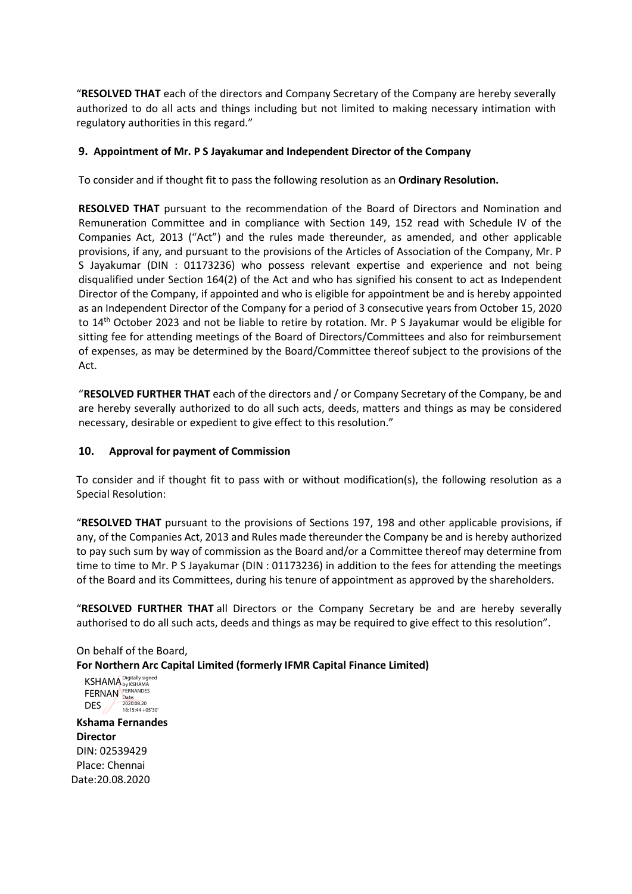"**RESOLVED THAT** each of the directors and Company Secretary of the Company are hereby severally authorized to do all acts and things including but not limited to making necessary intimation with regulatory authorities in this regard."

### **9. Appointment of Mr. P S Jayakumar and Independent Director of the Company**

To consider and if thought fit to pass the following resolution as an **Ordinary Resolution.**

**RESOLVED THAT** pursuant to the recommendation of the Board of Directors and Nomination and Remuneration Committee and in compliance with Section 149, 152 read with Schedule IV of the Companies Act, 2013 ("Act") and the rules made thereunder, as amended, and other applicable provisions, if any, and pursuant to the provisions of the Articles of Association of the Company, Mr. P S Jayakumar (DIN : 01173236) who possess relevant expertise and experience and not being disqualified under Section 164(2) of the Act and who has signified his consent to act as Independent Director of the Company, if appointed and who is eligible for appointment be and is hereby appointed as an Independent Director of the Company for a period of 3 consecutive years from October 15, 2020 to 14<sup>th</sup> October 2023 and not be liable to retire by rotation. Mr. P S Jayakumar would be eligible for sitting fee for attending meetings of the Board of Directors/Committees and also for reimbursement of expenses, as may be determined by the Board/Committee thereof subject to the provisions of the Act.

"**RESOLVED FURTHER THAT** each of the directors and / or Company Secretary of the Company, be and are hereby severally authorized to do all such acts, deeds, matters and things as may be considered necessary, desirable or expedient to give effect to this resolution."

### **10. Approval for payment of Commission**

To consider and if thought fit to pass with or without modification(s), the following resolution as a Special Resolution:

"**RESOLVED THAT** pursuant to the provisions of Sections 197, 198 and other applicable provisions, if any, of the Companies Act, 2013 and Rules made thereunder the Company be and is hereby authorized to pay such sum by way of commission as the Board and/or a Committee thereof may determine from time to time to Mr. P S Jayakumar (DIN : 01173236) in addition to the fees for attending the meetings of the Board and its Committees, during his tenure of appointment as approved by the shareholders.

"**RESOLVED FURTHER THAT** all Directors or the Company Secretary be and are hereby severally authorised to do all such acts, deeds and things as may be required to give effect to this resolution".

# On behalf of the Board,

**For Northern Arc Capital Limited (formerly IFMR Capital Finance Limited)**

KSHAMA Digitally signed FERNAN DES by KSHAMA FERNANDES Date: 2020.08.20 18:15:44 +05'30'

**Kshama Fernandes Director** DIN: 02539429 Place: Chennai Date:20.08.2020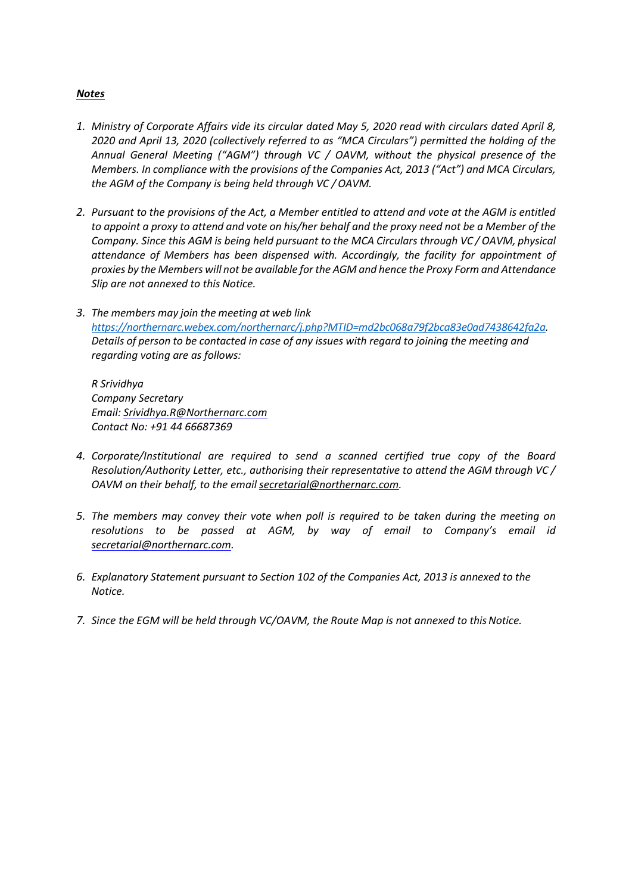### *Notes*

- *1. Ministry of Corporate Affairs vide its circular dated May 5, 2020 read with circulars dated April 8, 2020 and April 13, 2020 (collectively referred to as "MCA Circulars") permitted the holding of the Annual General Meeting ("AGM") through VC / OAVM, without the physical presence of the Members. In compliance with the provisions of the Companies Act, 2013 ("Act") and MCA Circulars, the AGM of the Company is being held through VC / OAVM.*
- *2. Pursuant to the provisions of the Act, a Member entitled to attend and vote at the AGM is entitled to appoint a proxy to attend and vote on his/her behalf and the proxy need not be a Member of the Company. Since this AGM is being held pursuant to the MCA Circulars through VC / OAVM, physical attendance of Members has been dispensed with. Accordingly, the facility for appointment of proxies by the Members will not be available for the AGM and hence the Proxy Form and Attendance Slip are not annexed to this Notice.*
- *3. The members may join the meeting at web link [https://northernarc.webex.com/northernarc/j.php?MTID=md2bc068a79f2bca83e0ad7438642fa2a.](https://northernarc.webex.com/northernarc/j.php?MTID=md2bc068a79f2bca83e0ad7438642fa2a) Details of person to be contacted in case of any issues with regard to joining the meeting and regarding voting are as follows:*

*R Srividhya Company Secretary Email: [Srividhya.R@Northernarc.com](mailto:Srividhya.R@Northernarc.com) Contact No: +91 44 66687369*

- *4. Corporate/Institutional are required to send a scanned certified true copy of the Board Resolution/Authority Letter, etc., authorising their representative to attend the AGM through VC / OAVM on their behalf, to the email [secretarial@northernarc.com.](mailto:secretarial@northernarc.com)*
- *5. The members may convey their vote when poll is required to be taken during the meeting on resolutions to be passed at AGM, by way of email to Company's email i[d](mailto:secretarial@northernarc.com) [secretarial@northernarc.com.](mailto:secretarial@northernarc.com)*
- *6. Explanatory Statement pursuant to Section 102 of the Companies Act, 2013 is annexed to the Notice.*
- 7. Since the EGM will be held through VC/OAVM, the Route Map is not annexed to this Notice.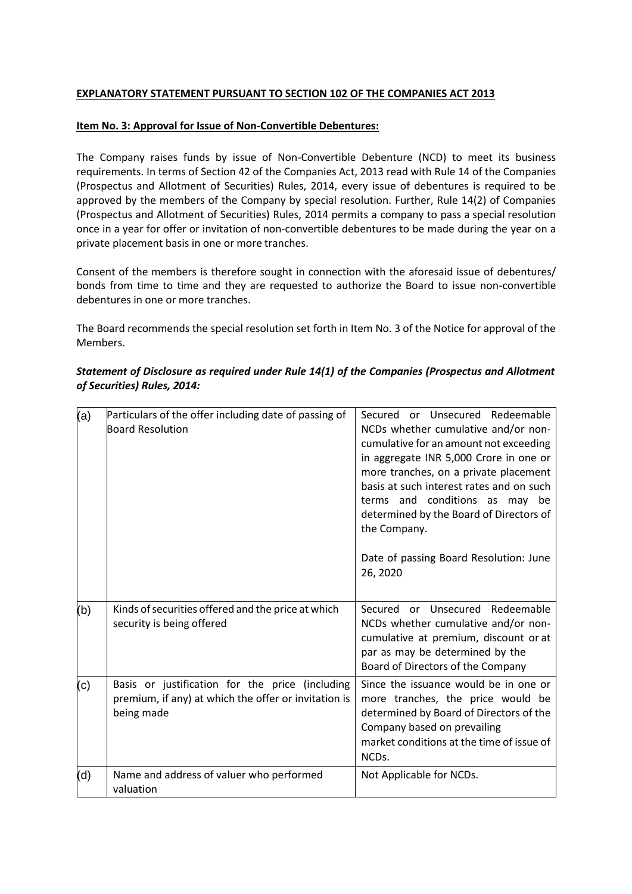### **EXPLANATORY STATEMENT PURSUANT TO SECTION 102 OF THE COMPANIES ACT 2013**

### **Item No. 3: Approval for Issue of Non-Convertible Debentures:**

The Company raises funds by issue of Non-Convertible Debenture (NCD) to meet its business requirements. In terms of Section 42 of the Companies Act, 2013 read with Rule 14 of the Companies (Prospectus and Allotment of Securities) Rules, 2014, every issue of debentures is required to be approved by the members of the Company by special resolution. Further, Rule 14(2) of Companies (Prospectus and Allotment of Securities) Rules, 2014 permits a company to pass a special resolution once in a year for offer or invitation of non-convertible debentures to be made during the year on a private placement basis in one or more tranches.

Consent of the members is therefore sought in connection with the aforesaid issue of debentures/ bonds from time to time and they are requested to authorize the Board to issue non-convertible debentures in one or more tranches.

The Board recommends the special resolution set forth in Item No. 3 of the Notice for approval of the Members.

| (a) | Particulars of the offer including date of passing of<br><b>Board Resolution</b>                                      | Secured or Unsecured Redeemable<br>NCDs whether cumulative and/or non-<br>cumulative for an amount not exceeding<br>in aggregate INR 5,000 Crore in one or<br>more tranches, on a private placement<br>basis at such interest rates and on such<br>terms and conditions as may be<br>determined by the Board of Directors of<br>the Company.<br>Date of passing Board Resolution: June<br>26, 2020 |
|-----|-----------------------------------------------------------------------------------------------------------------------|----------------------------------------------------------------------------------------------------------------------------------------------------------------------------------------------------------------------------------------------------------------------------------------------------------------------------------------------------------------------------------------------------|
| (b) | Kinds of securities offered and the price at which<br>security is being offered                                       | Secured or Unsecured Redeemable<br>NCDs whether cumulative and/or non-<br>cumulative at premium, discount or at<br>par as may be determined by the<br>Board of Directors of the Company                                                                                                                                                                                                            |
| (c) | Basis or justification for the price (including<br>premium, if any) at which the offer or invitation is<br>being made | Since the issuance would be in one or<br>more tranches, the price would be<br>determined by Board of Directors of the<br>Company based on prevailing<br>market conditions at the time of issue of<br>NCD <sub>s</sub> .                                                                                                                                                                            |
| (d) | Name and address of valuer who performed<br>valuation                                                                 | Not Applicable for NCDs.                                                                                                                                                                                                                                                                                                                                                                           |

# *Statement of Disclosure as required under Rule 14(1) of the Companies (Prospectus and Allotment of Securities) Rules, 2014:*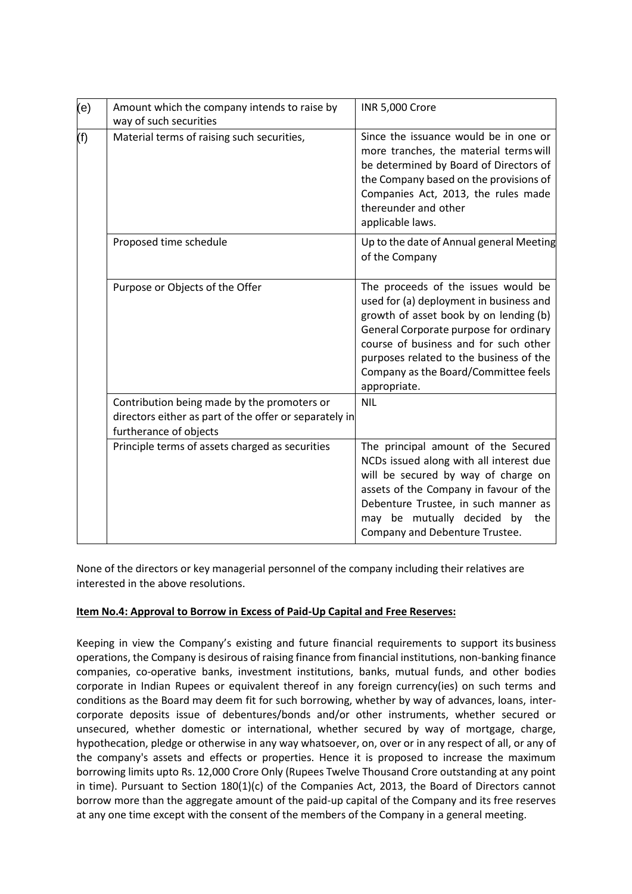| (e) | Amount which the company intends to raise by<br>way of such securities                                                          | <b>INR 5,000 Crore</b>                                                                                                                                                                                                                                                                                         |  |  |  |  |
|-----|---------------------------------------------------------------------------------------------------------------------------------|----------------------------------------------------------------------------------------------------------------------------------------------------------------------------------------------------------------------------------------------------------------------------------------------------------------|--|--|--|--|
| (f) | Material terms of raising such securities,                                                                                      | Since the issuance would be in one or<br>more tranches, the material terms will<br>be determined by Board of Directors of<br>the Company based on the provisions of<br>Companies Act, 2013, the rules made<br>thereunder and other<br>applicable laws.                                                         |  |  |  |  |
|     | Proposed time schedule                                                                                                          | Up to the date of Annual general Meeting<br>of the Company                                                                                                                                                                                                                                                     |  |  |  |  |
|     | Purpose or Objects of the Offer                                                                                                 | The proceeds of the issues would be<br>used for (a) deployment in business and<br>growth of asset book by on lending (b)<br>General Corporate purpose for ordinary<br>course of business and for such other<br>purposes related to the business of the<br>Company as the Board/Committee feels<br>appropriate. |  |  |  |  |
|     | Contribution being made by the promoters or<br>directors either as part of the offer or separately in<br>furtherance of objects | <b>NIL</b>                                                                                                                                                                                                                                                                                                     |  |  |  |  |
|     | Principle terms of assets charged as securities                                                                                 | The principal amount of the Secured<br>NCDs issued along with all interest due<br>will be secured by way of charge on<br>assets of the Company in favour of the<br>Debenture Trustee, in such manner as<br>may be mutually decided by<br>the<br>Company and Debenture Trustee.                                 |  |  |  |  |

None of the directors or key managerial personnel of the company including their relatives are interested in the above resolutions.

# **Item No.4: Approval to Borrow in Excess of Paid-Up Capital and Free Reserves:**

Keeping in view the Company's existing and future financial requirements to support its business operations, the Company is desirous of raising finance from financial institutions, non-banking finance companies, co-operative banks, investment institutions, banks, mutual funds, and other bodies corporate in Indian Rupees or equivalent thereof in any foreign currency(ies) on such terms and conditions as the Board may deem fit for such borrowing, whether by way of advances, loans, intercorporate deposits issue of debentures/bonds and/or other instruments, whether secured or unsecured, whether domestic or international, whether secured by way of mortgage, charge, hypothecation, pledge or otherwise in any way whatsoever, on, over or in any respect of all, or any of the company's assets and effects or properties. Hence it is proposed to increase the maximum borrowing limits upto Rs. 12,000 Crore Only (Rupees Twelve Thousand Crore outstanding at any point in time). Pursuant to Section 180(1)(c) of the Companies Act, 2013, the Board of Directors cannot borrow more than the aggregate amount of the paid-up capital of the Company and its free reserves at any one time except with the consent of the members of the Company in a general meeting.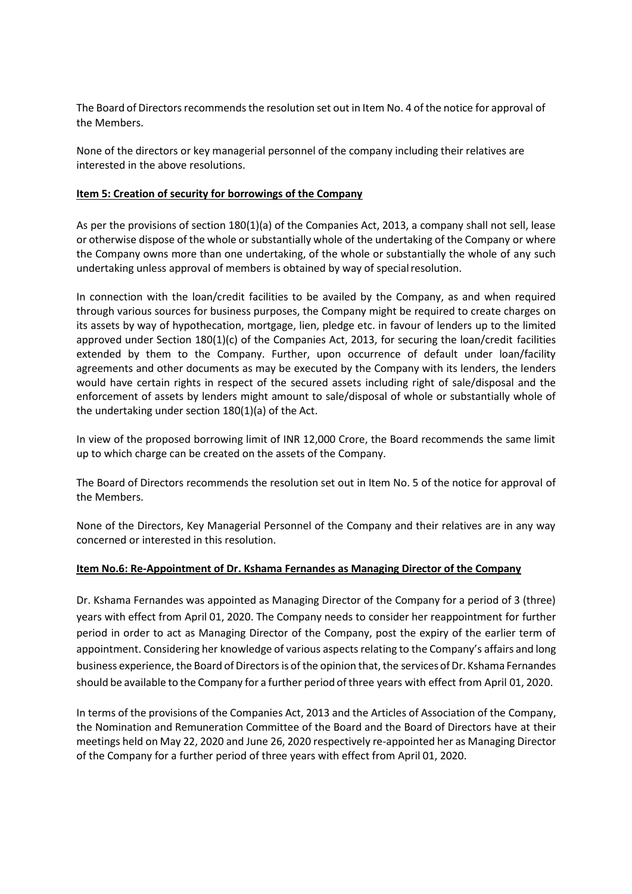The Board of Directors recommends the resolution set out in Item No. 4 of the notice for approval of the Members.

None of the directors or key managerial personnel of the company including their relatives are interested in the above resolutions.

### **Item 5: Creation of security for borrowings of the Company**

As per the provisions of section 180(1)(a) of the Companies Act, 2013, a company shall not sell, lease or otherwise dispose of the whole or substantially whole of the undertaking of the Company or where the Company owns more than one undertaking, of the whole or substantially the whole of any such undertaking unless approval of members is obtained by way of special resolution.

In connection with the loan/credit facilities to be availed by the Company, as and when required through various sources for business purposes, the Company might be required to create charges on its assets by way of hypothecation, mortgage, lien, pledge etc. in favour of lenders up to the limited approved under Section 180(1)(c) of the Companies Act, 2013, for securing the loan/credit facilities extended by them to the Company. Further, upon occurrence of default under loan/facility agreements and other documents as may be executed by the Company with its lenders, the lenders would have certain rights in respect of the secured assets including right of sale/disposal and the enforcement of assets by lenders might amount to sale/disposal of whole or substantially whole of the undertaking under section 180(1)(a) of the Act.

In view of the proposed borrowing limit of INR 12,000 Crore, the Board recommends the same limit up to which charge can be created on the assets of the Company.

The Board of Directors recommends the resolution set out in Item No. 5 of the notice for approval of the Members.

None of the Directors, Key Managerial Personnel of the Company and their relatives are in any way concerned or interested in this resolution.

### **Item No.6: Re-Appointment of Dr. Kshama Fernandes as Managing Director of the Company**

Dr. Kshama Fernandes was appointed as Managing Director of the Company for a period of 3 (three) years with effect from April 01, 2020. The Company needs to consider her reappointment for further period in order to act as Managing Director of the Company, post the expiry of the earlier term of appointment. Considering her knowledge of various aspects relating to the Company's affairs and long business experience, the Board of Directors is of the opinion that, the services of Dr. Kshama Fernandes should be available to the Company for a further period of three years with effect from April 01, 2020.

In terms of the provisions of the Companies Act, 2013 and the Articles of Association of the Company, the Nomination and Remuneration Committee of the Board and the Board of Directors have at their meetings held on May 22, 2020 and June 26, 2020 respectively re-appointed her as Managing Director of the Company for a further period of three years with effect from April 01, 2020.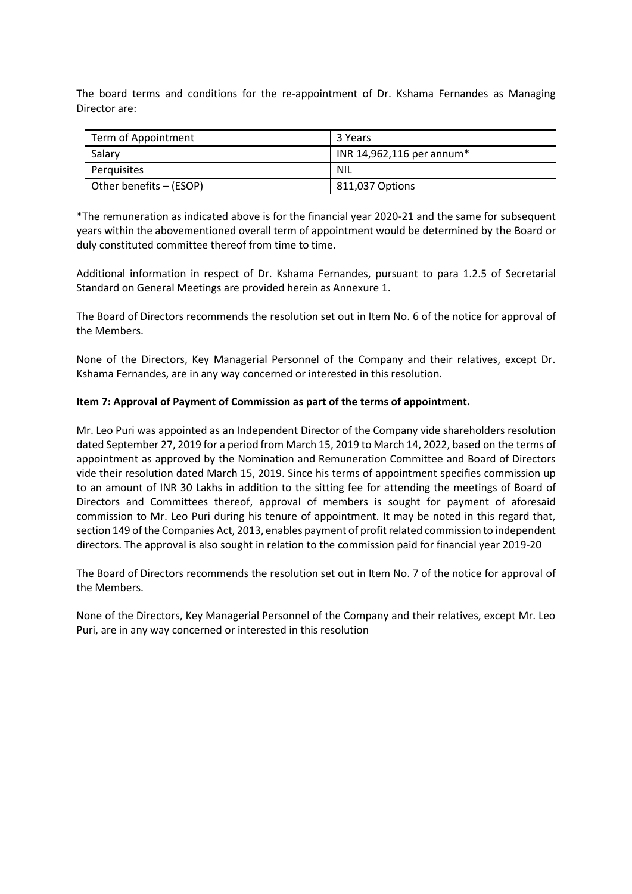The board terms and conditions for the re-appointment of Dr. Kshama Fernandes as Managing Director are:

| Term of Appointment     | 3 Years                   |  |  |  |  |
|-------------------------|---------------------------|--|--|--|--|
| Salary                  | INR 14,962,116 per annum* |  |  |  |  |
| Perquisites             | <b>NIL</b>                |  |  |  |  |
| Other benefits - (ESOP) | 811,037 Options           |  |  |  |  |

\*The remuneration as indicated above is for the financial year 2020-21 and the same for subsequent years within the abovementioned overall term of appointment would be determined by the Board or duly constituted committee thereof from time to time.

Additional information in respect of Dr. Kshama Fernandes, pursuant to para 1.2.5 of Secretarial Standard on General Meetings are provided herein as Annexure 1.

The Board of Directors recommends the resolution set out in Item No. 6 of the notice for approval of the Members.

None of the Directors, Key Managerial Personnel of the Company and their relatives, except Dr. Kshama Fernandes, are in any way concerned or interested in this resolution.

### **Item 7: Approval of Payment of Commission as part of the terms of appointment.**

Mr. Leo Puri was appointed as an Independent Director of the Company vide shareholders resolution dated September 27, 2019 for a period from March 15, 2019 to March 14, 2022, based on the terms of appointment as approved by the Nomination and Remuneration Committee and Board of Directors vide their resolution dated March 15, 2019. Since his terms of appointment specifies commission up to an amount of INR 30 Lakhs in addition to the sitting fee for attending the meetings of Board of Directors and Committees thereof, approval of members is sought for payment of aforesaid commission to Mr. Leo Puri during his tenure of appointment. It may be noted in this regard that, section 149 of the Companies Act, 2013, enables payment of profit related commission to independent directors. The approval is also sought in relation to the commission paid for financial year 2019-20

The Board of Directors recommends the resolution set out in Item No. 7 of the notice for approval of the Members.

None of the Directors, Key Managerial Personnel of the Company and their relatives, except Mr. Leo Puri, are in any way concerned or interested in this resolution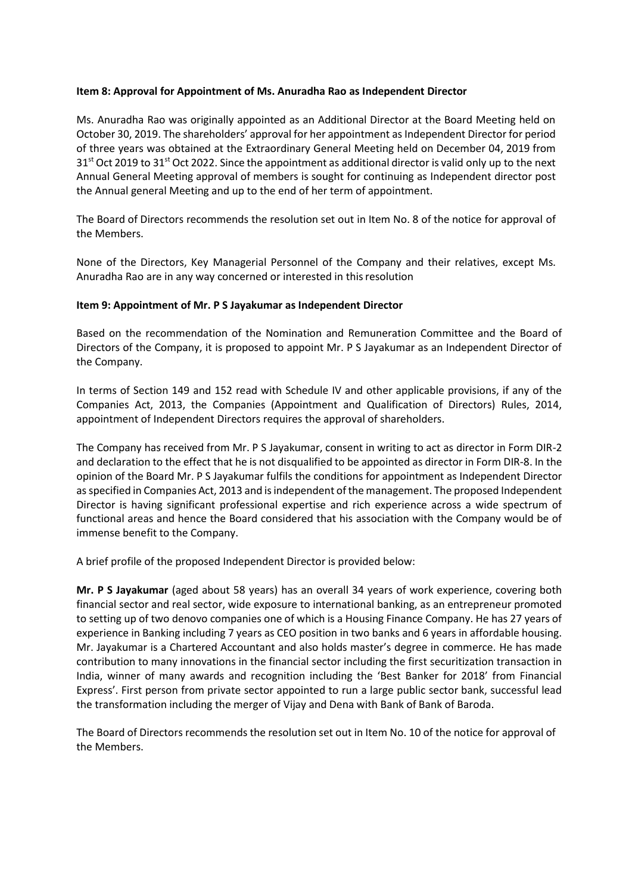### **Item 8: Approval for Appointment of Ms. Anuradha Rao as Independent Director**

Ms. Anuradha Rao was originally appointed as an Additional Director at the Board Meeting held on October 30, 2019. The shareholders' approval for her appointment as Independent Director for period of three years was obtained at the Extraordinary General Meeting held on December 04, 2019 from 31<sup>st</sup> Oct 2019 to 31<sup>st</sup> Oct 2022. Since the appointment as additional director is valid only up to the next Annual General Meeting approval of members is sought for continuing as Independent director post the Annual general Meeting and up to the end of her term of appointment.

The Board of Directors recommends the resolution set out in Item No. 8 of the notice for approval of the Members.

None of the Directors, Key Managerial Personnel of the Company and their relatives, except Ms. Anuradha Rao are in any way concerned or interested in thisresolution

#### **Item 9: Appointment of Mr. P S Jayakumar as Independent Director**

Based on the recommendation of the Nomination and Remuneration Committee and the Board of Directors of the Company, it is proposed to appoint Mr. P S Jayakumar as an Independent Director of the Company.

In terms of Section 149 and 152 read with Schedule IV and other applicable provisions, if any of the Companies Act, 2013, the Companies (Appointment and Qualification of Directors) Rules, 2014, appointment of Independent Directors requires the approval of shareholders.

The Company has received from Mr. P S Jayakumar, consent in writing to act as director in Form DIR-2 and declaration to the effect that he is not disqualified to be appointed as director in Form DIR-8. In the opinion of the Board Mr. P S Jayakumar fulfils the conditions for appointment as Independent Director as specified in Companies Act, 2013 and is independent of the management. The proposed Independent Director is having significant professional expertise and rich experience across a wide spectrum of functional areas and hence the Board considered that his association with the Company would be of immense benefit to the Company.

A brief profile of the proposed Independent Director is provided below:

**Mr. P S Jayakumar** (aged about 58 years) has an overall 34 years of work experience, covering both financial sector and real sector, wide exposure to international banking, as an entrepreneur promoted to setting up of two denovo companies one of which is a Housing Finance Company. He has 27 years of experience in Banking including 7 years as CEO position in two banks and 6 years in affordable housing. Mr. Jayakumar is a Chartered Accountant and also holds master's degree in commerce. He has made contribution to many innovations in the financial sector including the first securitization transaction in India, winner of many awards and recognition including the 'Best Banker for 2018' from Financial Express'. First person from private sector appointed to run a large public sector bank, successful lead the transformation including the merger of Vijay and Dena with Bank of Bank of Baroda.

The Board of Directors recommends the resolution set out in Item No. 10 of the notice for approval of the Members.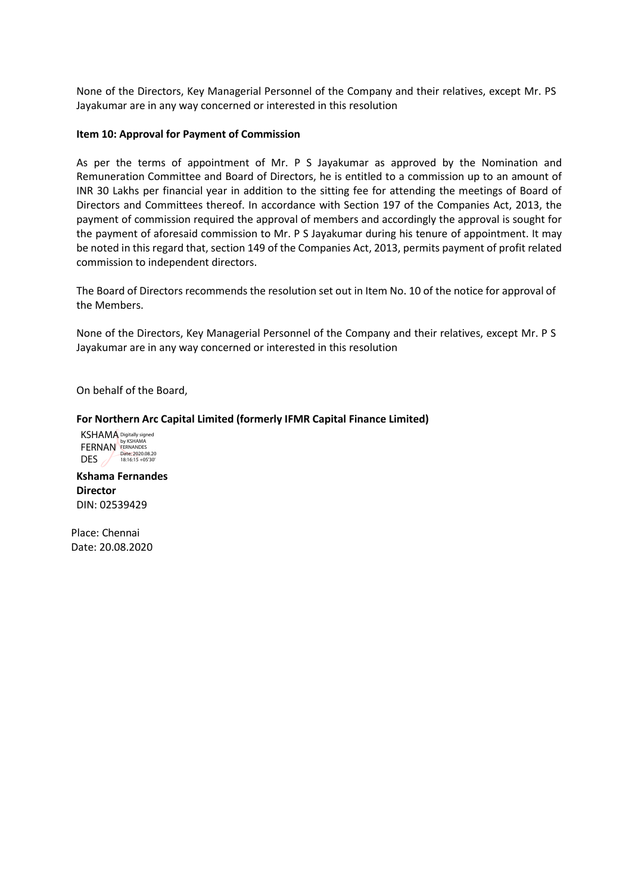None of the Directors, Key Managerial Personnel of the Company and their relatives, except Mr. PS Jayakumar are in any way concerned or interested in this resolution

#### **Item 10: Approval for Payment of Commission**

As per the terms of appointment of Mr. P S Jayakumar as approved by the Nomination and Remuneration Committee and Board of Directors, he is entitled to a commission up to an amount of INR 30 Lakhs per financial year in addition to the sitting fee for attending the meetings of Board of Directors and Committees thereof. In accordance with Section 197 of the Companies Act, 2013, the payment of commission required the approval of members and accordingly the approval is sought for the payment of aforesaid commission to Mr. P S Jayakumar during his tenure of appointment. It may be noted in this regard that, section 149 of the Companies Act, 2013, permits payment of profit related commission to independent directors.

The Board of Directors recommends the resolution set out in Item No. 10 of the notice for approval of the Members.

None of the Directors, Key Managerial Personnel of the Company and their relatives, except Mr. P S Jayakumar are in any way concerned or interested in this resolution

On behalf of the Board,

#### **For Northern Arc Capital Limited (formerly IFMR Capital Finance Limited)**

KSHAMA FERNAN DES  $\angle$ Digitally signed by KSHAMA FERNANDES Date: 2020.08.20 18:16:15 +05'30'

**Kshama Fernandes Director** DIN: 02539429

Place: Chennai Date: 20.08.2020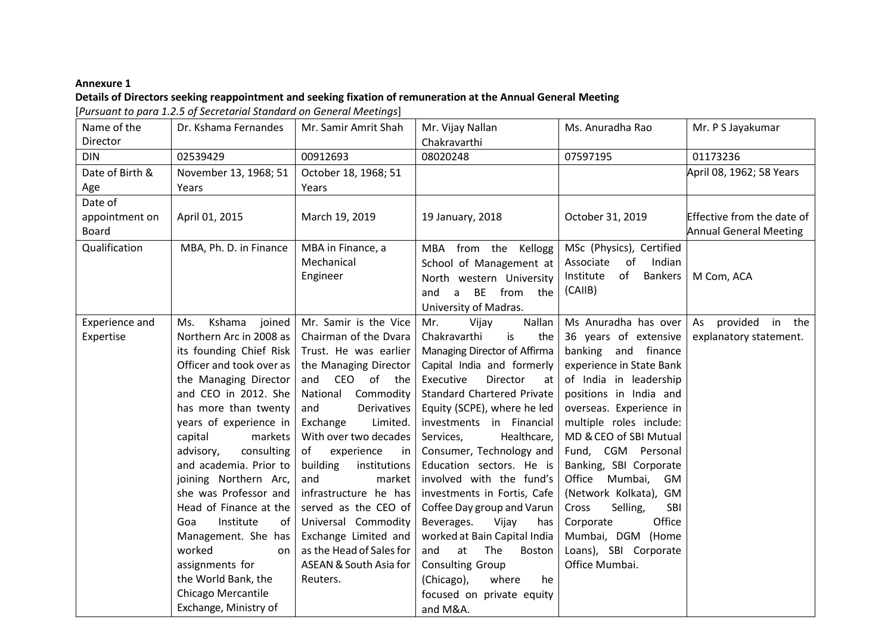### **Annexure 1**

# **Details of Directors seeking reappointment and seeking fixation of remuneration at the Annual General Meeting**

[*Pursuant to para 1.2.5 of Secretarial Standard on General Meetings*]

| Name of the<br>Director | Dr. Kshama Fernandes                              | Mr. Samir Amrit Shah                         | Mr. Vijay Nallan<br>Chakravarthi                     | Ms. Anuradha Rao                             | Mr. P S Jayakumar             |
|-------------------------|---------------------------------------------------|----------------------------------------------|------------------------------------------------------|----------------------------------------------|-------------------------------|
| <b>DIN</b>              | 02539429                                          | 00912693                                     | 08020248                                             | 07597195                                     | 01173236                      |
| Date of Birth &         | November 13, 1968; 51                             | October 18, 1968; 51                         |                                                      |                                              | April 08, 1962; 58 Years      |
| Age                     | Years                                             | Years                                        |                                                      |                                              |                               |
| Date of                 |                                                   |                                              |                                                      |                                              |                               |
| appointment on          | April 01, 2015                                    | March 19, 2019                               | 19 January, 2018                                     | October 31, 2019                             | Effective from the date of    |
| Board                   |                                                   |                                              |                                                      |                                              | <b>Annual General Meeting</b> |
| Qualification           | MBA, Ph. D. in Finance                            | MBA in Finance, a                            | MBA from the Kellogg                                 | MSc (Physics), Certified                     |                               |
|                         |                                                   | Mechanical                                   | School of Management at                              | of<br>Associate<br>Indian                    |                               |
|                         |                                                   | Engineer                                     | North western University                             | Institute<br>of Bankers                      | M Com, ACA                    |
|                         |                                                   |                                              | BE from the<br>and<br>a                              | (CAIIB)                                      |                               |
|                         |                                                   |                                              | University of Madras.                                |                                              |                               |
| Experience and          | Kshama<br>joined<br>Ms.                           | Mr. Samir is the Vice                        | Mr.<br>Nallan<br>Vijay                               | Ms Anuradha has over                         | provided in the<br>As         |
| Expertise               | Northern Arc in 2008 as                           | Chairman of the Dvara                        | is<br>Chakravarthi<br>the                            | 36 years of extensive                        | explanatory statement.        |
|                         | its founding Chief Risk                           | Trust. He was earlier                        | Managing Director of Affirma                         | banking and finance                          |                               |
|                         | Officer and took over as                          | the Managing Director                        | Capital India and formerly                           | experience in State Bank                     |                               |
|                         | the Managing Director                             | and CEO of the                               | Director<br>Executive<br>at                          | of India in leadership                       |                               |
|                         | and CEO in 2012. She                              | National<br>Commodity                        | Standard Chartered Private                           | positions in India and                       |                               |
|                         | has more than twenty                              | and<br>Derivatives                           | Equity (SCPE), where he led                          | overseas. Experience in                      |                               |
|                         | years of experience in                            | Exchange<br>Limited.                         | investments in Financial                             | multiple roles include:                      |                               |
|                         | capital<br>markets                                | With over two decades<br>of                  | Healthcare,<br>Services,                             | MD & CEO of SBI Mutual                       |                               |
|                         | consulting<br>advisory,<br>and academia. Prior to | experience<br>in<br>building<br>institutions | Consumer, Technology and<br>Education sectors. He is | Fund, CGM Personal<br>Banking, SBI Corporate |                               |
|                         | joining Northern Arc,                             | and<br>market                                | involved with the fund's                             | Office<br>Mumbai,<br>GM                      |                               |
|                         | she was Professor and                             | infrastructure he has                        | investments in Fortis, Cafe                          | (Network Kolkata), GM                        |                               |
|                         | Head of Finance at the                            | served as the CEO of                         | Coffee Day group and Varun                           | Selling,<br>SBI<br>Cross                     |                               |
|                         | Institute<br>Goa<br>of                            | Universal Commodity                          | Beverages.<br>Vijay<br>has                           | Office<br>Corporate                          |                               |
|                         | Management. She has                               | Exchange Limited and                         | worked at Bain Capital India                         | Mumbai, DGM (Home                            |                               |
|                         | worked<br>on                                      | as the Head of Sales for                     | and<br>The<br>at<br>Boston                           | Loans), SBI Corporate                        |                               |
|                         | assignments for                                   | ASEAN & South Asia for                       | Consulting Group                                     | Office Mumbai.                               |                               |
|                         | the World Bank, the                               | Reuters.                                     | (Chicago),<br>where<br>he                            |                                              |                               |
|                         | Chicago Mercantile                                |                                              | focused on private equity                            |                                              |                               |
|                         | Exchange, Ministry of                             |                                              | and M&A.                                             |                                              |                               |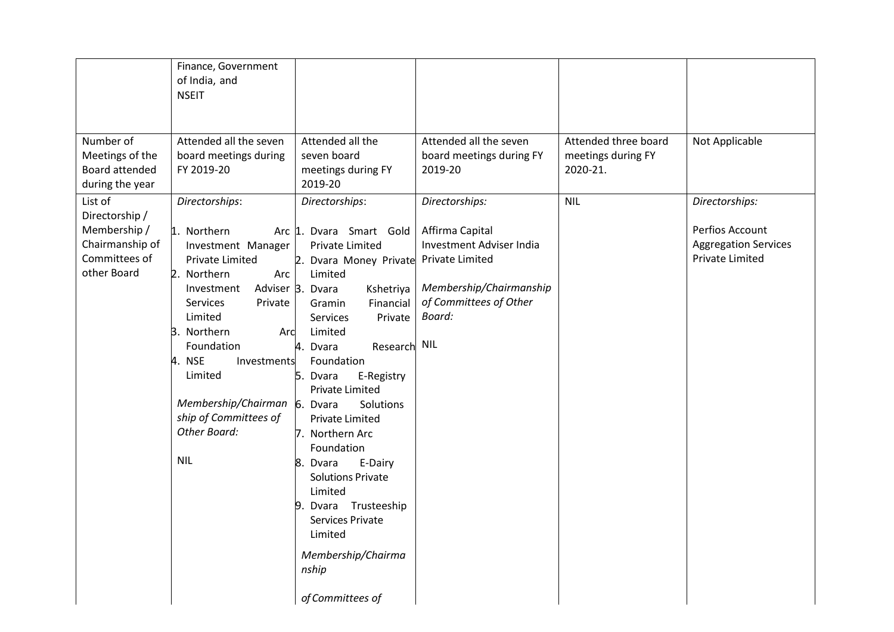|                                                                                              | Finance, Government<br>of India, and<br><b>NSEIT</b>                                                                                                                                                                                                                                                                      |                                                                                                                                                                                                                                                                                                                                                                                                                                                                                                                                                        |                                                                                                                                                 |                                                        |                                                                                            |
|----------------------------------------------------------------------------------------------|---------------------------------------------------------------------------------------------------------------------------------------------------------------------------------------------------------------------------------------------------------------------------------------------------------------------------|--------------------------------------------------------------------------------------------------------------------------------------------------------------------------------------------------------------------------------------------------------------------------------------------------------------------------------------------------------------------------------------------------------------------------------------------------------------------------------------------------------------------------------------------------------|-------------------------------------------------------------------------------------------------------------------------------------------------|--------------------------------------------------------|--------------------------------------------------------------------------------------------|
| Number of<br>Meetings of the<br>Board attended<br>during the year                            | Attended all the seven<br>board meetings during<br>FY 2019-20                                                                                                                                                                                                                                                             | Attended all the<br>seven board<br>meetings during FY<br>2019-20                                                                                                                                                                                                                                                                                                                                                                                                                                                                                       | Attended all the seven<br>board meetings during FY<br>2019-20                                                                                   | Attended three board<br>meetings during FY<br>2020-21. | Not Applicable                                                                             |
| List of<br>Directorship /<br>Membership /<br>Chairmanship of<br>Committees of<br>other Board | Directorships:<br>1. Northern<br>Investment Manager<br><b>Private Limited</b><br>2. Northern<br>Arc<br>Investment<br>Services<br>Private<br>Limited<br>3. Northern<br>Arc<br>Foundation<br>4. NSE<br>Investments<br>Limited<br>Membership/Chairman 6. Dvara<br>ship of Committees of<br><b>Other Board:</b><br><b>NIL</b> | Directorships:<br>Arc 1. Dvara Smart Gold<br><b>Private Limited</b><br>2. Dvara Money Private<br>Limited<br>Adviser 3. Dvara<br>Kshetriya<br>Financial<br>Gramin<br>Private<br><b>Services</b><br>Limited<br>Research NIL<br>4. Dvara<br>Foundation<br>5. Dvara<br>E-Registry<br><b>Private Limited</b><br>Solutions<br>Private Limited<br>7. Northern Arc<br>Foundation<br>E-Dairy<br>8.<br>Dvara<br><b>Solutions Private</b><br>Limited<br>Dvara Trusteeship<br>9.<br>Services Private<br>Limited<br>Membership/Chairma<br>nship<br>of Committees of | Directorships:<br>Affirma Capital<br>Investment Adviser India<br>Private Limited<br>Membership/Chairmanship<br>of Committees of Other<br>Board: | <b>NIL</b>                                             | Directorships:<br>Perfios Account<br><b>Aggregation Services</b><br><b>Private Limited</b> |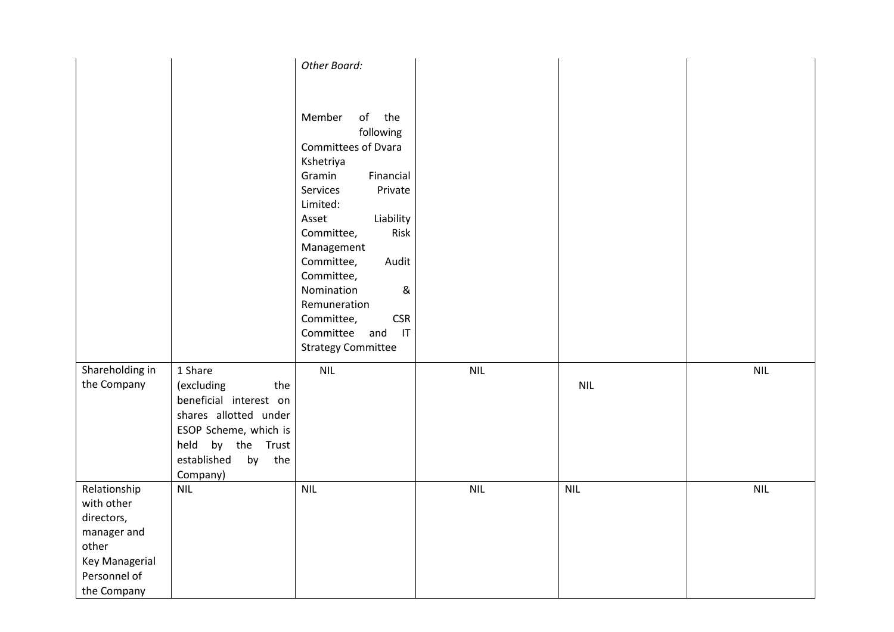|                                                                                                                   |                                                                                                                                                                    | Other Board:                                                                                                                                                                                                                                                                                                                                                               |            |            |            |
|-------------------------------------------------------------------------------------------------------------------|--------------------------------------------------------------------------------------------------------------------------------------------------------------------|----------------------------------------------------------------------------------------------------------------------------------------------------------------------------------------------------------------------------------------------------------------------------------------------------------------------------------------------------------------------------|------------|------------|------------|
|                                                                                                                   |                                                                                                                                                                    | Member<br>of<br>the<br>following<br>Committees of Dvara<br>Kshetriya<br>Gramin<br>Financial<br>Services<br>Private<br>Limited:<br>Liability<br>Asset<br>Risk<br>Committee,<br>Management<br>Committee,<br>Audit<br>Committee,<br>$\&$<br>Nomination<br>Remuneration<br><b>CSR</b><br>Committee,<br>Committee<br>and<br>$\mathsf{I}\mathsf{T}$<br><b>Strategy Committee</b> |            |            |            |
| Shareholding in<br>the Company                                                                                    | 1 Share<br>(excluding<br>the<br>beneficial interest on<br>shares allotted under<br>ESOP Scheme, which is<br>held by the Trust<br>established<br>by the<br>Company) | <b>NIL</b>                                                                                                                                                                                                                                                                                                                                                                 | <b>NIL</b> | <b>NIL</b> | <b>NIL</b> |
| Relationship<br>with other<br>directors,<br>manager and<br>other<br>Key Managerial<br>Personnel of<br>the Company | <b>NIL</b>                                                                                                                                                         | <b>NIL</b>                                                                                                                                                                                                                                                                                                                                                                 | <b>NIL</b> | <b>NIL</b> | <b>NIL</b> |